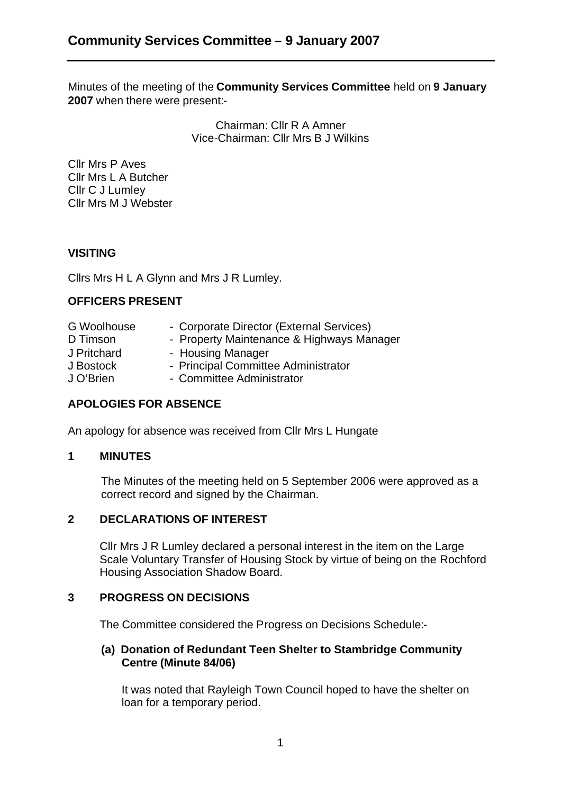Minutes of the meeting of the **Community Services Committee** held on **9 January 2007** when there were present:-

> Chairman: Cllr R A Amner Vice-Chairman: Cllr Mrs B J Wilkins

Cllr Mrs P Aves Cllr Mrs L A Butcher Cllr C J Lumley Cllr Mrs M J Webster

### **VISITING**

Cllrs Mrs H L A Glynn and Mrs J R Lumley.

### **OFFICERS PRESENT**

| - Corporate Director (External Services)  |
|-------------------------------------------|
| - Property Maintenance & Highways Manager |
| - Housing Manager                         |
| - Principal Committee Administrator       |
| - Committee Administrator                 |
|                                           |

# **APOLOGIES FOR ABSENCE**

An apology for absence was received from Cllr Mrs L Hungate

#### **1 MINUTES**

The Minutes of the meeting held on 5 September 2006 were approved as a correct record and signed by the Chairman.

#### **2 DECLARATIONS OF INTEREST**

Cllr Mrs J R Lumley declared a personal interest in the item on the Large Scale Voluntary Transfer of Housing Stock by virtue of being on the Rochford Housing Association Shadow Board.

### **3 PROGRESS ON DECISIONS**

The Committee considered the Progress on Decisions Schedule:-

#### **(a) Donation of Redundant Teen Shelter to Stambridge Community Centre (Minute 84/06)**

It was noted that Rayleigh Town Council hoped to have the shelter on loan for a temporary period.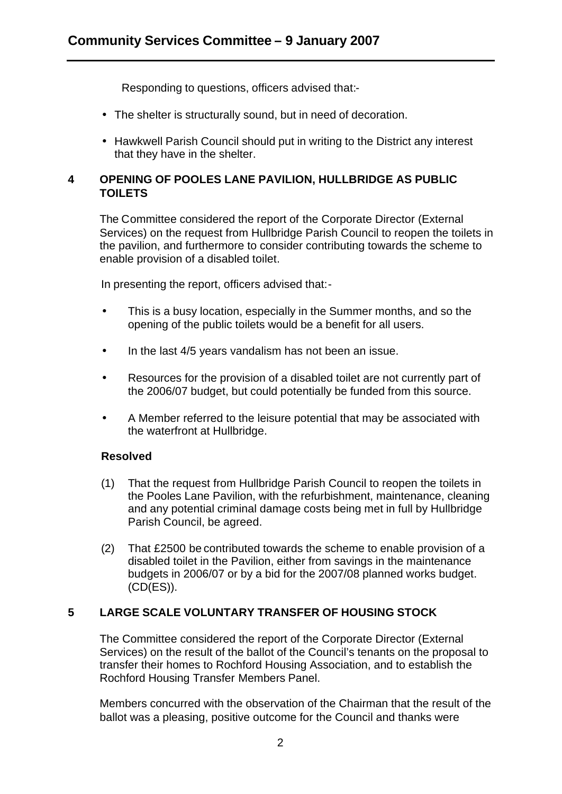Responding to questions, officers advised that:-

- The shelter is structurally sound, but in need of decoration.
- Hawkwell Parish Council should put in writing to the District any interest that they have in the shelter.

## **4 OPENING OF POOLES LANE PAVILION, HULLBRIDGE AS PUBLIC TOILETS**

The Committee considered the report of the Corporate Director (External Services) on the request from Hullbridge Parish Council to reopen the toilets in the pavilion, and furthermore to consider contributing towards the scheme to enable provision of a disabled toilet.

In presenting the report, officers advised that:-

- This is a busy location, especially in the Summer months, and so the opening of the public toilets would be a benefit for all users.
- In the last 4/5 years vandalism has not been an issue.
- Resources for the provision of a disabled toilet are not currently part of the 2006/07 budget, but could potentially be funded from this source.
- A Member referred to the leisure potential that may be associated with the waterfront at Hullbridge.

#### **Resolved**

- (1) That the request from Hullbridge Parish Council to reopen the toilets in the Pooles Lane Pavilion, with the refurbishment, maintenance, cleaning and any potential criminal damage costs being met in full by Hullbridge Parish Council, be agreed.
- (2) That £2500 be contributed towards the scheme to enable provision of a disabled toilet in the Pavilion, either from savings in the maintenance budgets in 2006/07 or by a bid for the 2007/08 planned works budget. (CD(ES)).

# **5 LARGE SCALE VOLUNTARY TRANSFER OF HOUSING STOCK**

The Committee considered the report of the Corporate Director (External Services) on the result of the ballot of the Council's tenants on the proposal to transfer their homes to Rochford Housing Association, and to establish the Rochford Housing Transfer Members Panel.

Members concurred with the observation of the Chairman that the result of the ballot was a pleasing, positive outcome for the Council and thanks were